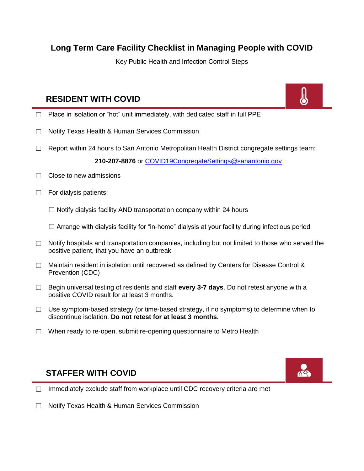## **Long Term Care Facility Checklist in Managing People with COVID**

Key Public Health and Infection Control Steps

## **RESIDENT WITH COVID**



- $\Box$  Place in isolation or "hot" unit immediately, with dedicated staff in full PPE
- ☐ Notify Texas Health & Human Services Commission
- $\Box$  Report within 24 hours to San Antonio Metropolitan Health District congregate settings team:

**210-207-8876** or [COVID19CongregateSettings@sanantonio.gov](mailto:COVID19CongregateSettings@sanantonio.gov)

- $\Box$  Close to new admissions
- $\Box$  For dialysis patients:

 $\Box$  Notify dialysis facility AND transportation company within 24 hours

 $\Box$  Arrange with dialysis facility for "in-home" dialysis at your facility during infectious period

- $\Box$  Notify hospitals and transportation companies, including but not limited to those who served the positive patient, that you have an outbreak
- $\Box$  Maintain resident in isolation until recovered as defined by Centers for Disease Control & Prevention (CDC)
- ☐ Begin universal testing of residents and staff **every 3-7 days**. Do not retest anyone with a positive COVID result for at least 3 months.
- $\Box$  Use symptom-based strategy (or time-based strategy, if no symptoms) to determine when to discontinue isolation. **Do not retest for at least 3 months.**
- ☐ When ready to re-open, submit re-opening questionnaire to Metro Health

## **STAFFER WITH COVID**



- □ Immediately exclude staff from workplace until CDC recovery criteria are met
- ☐ Notify Texas Health & Human Services Commission